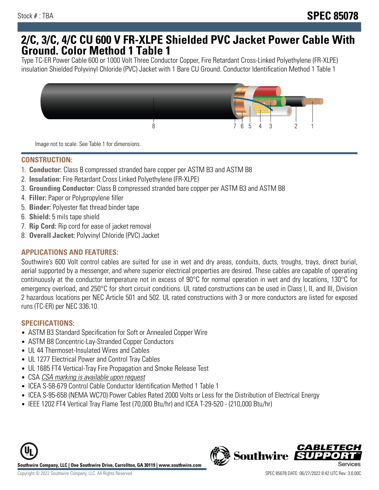## **2/C, 3/C, 4/C CU 600 V FR-XLPE Shielded PVC Jacket Power Cable With Ground. Color Method 1 Table 1**

Type TC-ER Power Cable 600 or 1000 Volt Three Conductor Copper, Fire Retardant Cross-Linked Polyethylene (FR-XLPE) insulation Shielded Polyvinyl Chloride (PVC) Jacket with 1 Bare CU Ground. Conductor Identification Method 1 Table 1



Image not to scale. See Table 1 for dimensions.

#### **CONSTRUCTION:**

- 1. **Conductor:** Class B compressed stranded bare copper per ASTM B3 and ASTM B8
- 2. **Insulation:** Fire Retardant Cross Linked Polyethylene (FR-XLPE)
- 3. **Grounding Conductor:** Class B compressed stranded bare copper per ASTM B3 and ASTM B8
- 4. **Filler:** Paper or Polypropylene filler
- 5. **Binder:** Polyester flat thread binder tape
- 6. **Shield:** 5 mils tape shield
- 7. **Rip Cord:** Rip cord for ease of jacket removal
- 8. **Overall Jacket:** Polyvinyl Chloride (PVC) Jacket

### **APPLICATIONS AND FEATURES:**

Southwire's 600 Volt control cables are suited for use in wet and dry areas, conduits, ducts, troughs, trays, direct burial, aerial supported by a messenger, and where superior electrical properties are desired. These cables are capable of operating continuously at the conductor temperature not in excess of 90°C for normal operation in wet and dry locations, 130°C for emergency overload, and 250°C for short circuit conditions. UL rated constructions can be used in Class I, II, and III, Division 2 hazardous locations per NEC Article 501 and 502. UL rated constructions with 3 or more conductors are listed for exposed runs (TC-ER) per NEC 336.10.

#### **SPECIFICATIONS:**

- ASTM B3 Standard Specification for Soft or Annealed Copper Wire
- ASTM B8 Concentric-Lay-Stranded Copper Conductors
- UL 44 Thermoset-Insulated Wires and Cables
- UL 1277 Electrical Power and Control Tray Cables
- UL 1685 FT4 Vertical-Tray Fire Propagation and Smoke Release Test
- CSA CSA marking is available upon request
- ICEA S-58-679 Control Cable Conductor Identification Method 1 Table 1
- ICEA S-95-658 (NEMA WC70) Power Cables Rated 2000 Volts or Less for the Distribution of Electrical Energy
- IEEE 1202 FT4 Vertical Tray Flame Test (70,000 Btu/hr) and ICEA T-29-520 (210,000 Btu/hr)

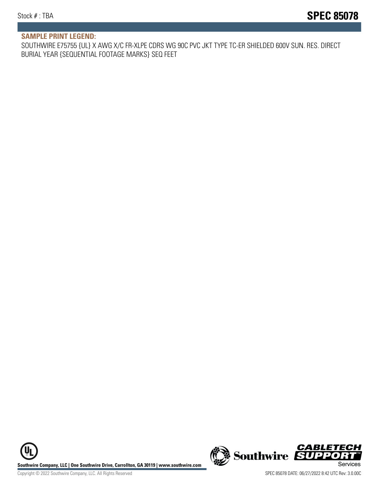#### **SAMPLE PRINT LEGEND:**

SOUTHWIRE E75755 {UL} X AWG X/C FR-XLPE CDRS WG 90C PVC JKT TYPE TC-ER SHIELDED 600V SUN. RES. DIRECT BURIAL YEAR {SEQUENTIAL FOOTAGE MARKS} SEQ FEET

UL **Southwire Company, LLC | One Southwire Drive, Carrollton, GA 30119 | www.southwire.com (New Southwire SUPPORTI**